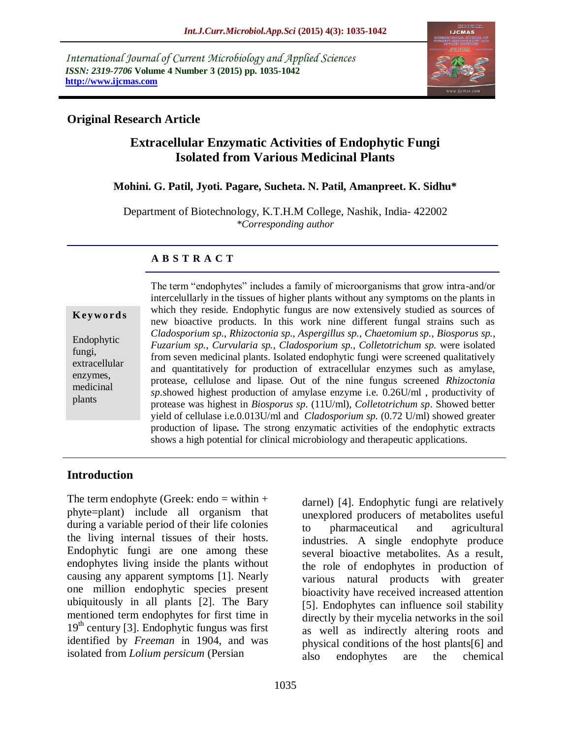*International Journal of Current Microbiology and Applied Sciences ISSN: 2319-7706* **Volume 4 Number 3 (2015) pp. 1035-1042 http://www.ijcmas.com** 



## **Original Research Article**

# **Extracellular Enzymatic Activities of Endophytic Fungi Isolated from Various Medicinal Plants**

## **Mohini. G. Patil, Jyoti. Pagare, Sucheta. N. Patil, Amanpreet. K. Sidhu\***

Department of Biotechnology, K.T.H.M College, Nashik, India- 422002 *\*Corresponding author*

## **A B S T R A C T**

**K ey w o rd s**

Endophytic fungi, extracellular enzymes, medicinal plants

The term "endophytes" includes a family of microorganisms that grow intra-and/or intercelullarly in the tissues of higher plants without any symptoms on the plants in which they reside. Endophytic fungus are now extensively studied as sources of new bioactive products. In this work nine different fungal strains such as *Cladosporium sp.*, *Rhizoctonia sp., Aspergillus sp.*, *Chaetomium sp.*, *Biosporus sp.*, *Fuzarium sp., Curvularia sp.*, *Cladosporium sp.*, *Colletotrichum sp.* were isolated from seven medicinal plants. Isolated endophytic fungi were screened qualitatively and quantitatively for production of extracellular enzymes such as amylase, protease, cellulose and lipase. Out of the nine fungus screened *Rhizoctonia sp*.showed highest production of amylase enzyme i.e. 0.26U/ml , productivity of protease was highest in *Biosporus sp*. (11U/ml), *Colletotrichum sp*. Showed better yield of cellulase i.e.0.013U/ml and *Cladosporium sp.* (0.72 U/ml) showed greater production of lipase**.** The strong enzymatic activities of the endophytic extracts shows a high potential for clinical microbiology and therapeutic applications.

## **Introduction**

The term endophyte (Greek: endo  $=$  within  $+$ phyte=plant) include all organism that during a variable period of their life colonies the living internal tissues of their hosts. Endophytic fungi are one among these endophytes living inside the plants without causing any apparent symptoms [1]. Nearly one million endophytic species present ubiquitously in all plants [2]. The Bary mentioned term endophytes for first time in  $19<sup>th</sup>$  century [3]. Endophytic fungus was first identified by *Freeman* in 1904, and was isolated from *Lolium persicum* (Persian

darnel) [4]. Endophytic fungi are relatively unexplored producers of metabolites useful to pharmaceutical and agricultural industries. A single endophyte produce several bioactive metabolites. As a result, the role of endophytes in production of various natural products with greater bioactivity have received increased attention [5]. Endophytes can influence soil stability directly by their mycelia networks in the soil as well as indirectly altering roots and physical conditions of the host plants[6] and also endophytes are the chemical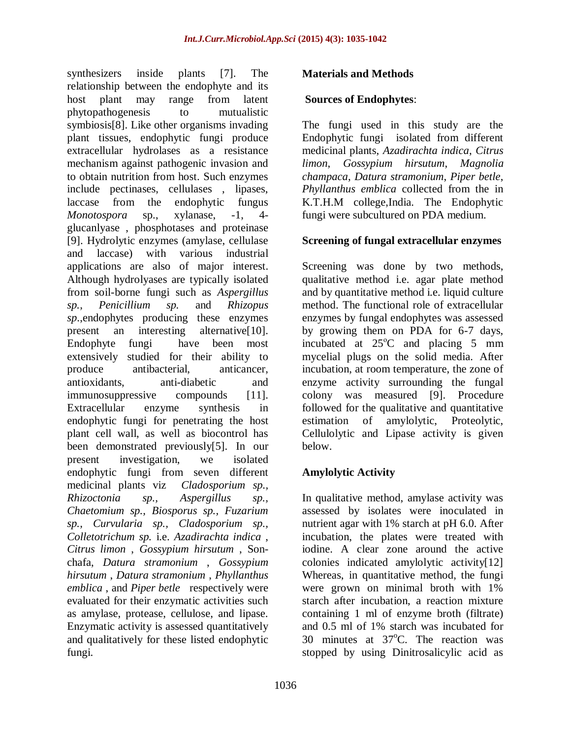synthesizers inside plants [7]. The relationship between the endophyte and its host plant may range from latent phytopathogenesis to mutualistic symbiosis[8]. Like other organisms invading plant tissues, endophytic fungi produce extracellular hydrolases as a resistance mechanism against pathogenic invasion and to obtain nutrition from host. Such enzymes include pectinases, cellulases , lipases, laccase from the endophytic fungus *Monotospora* sp., xylanase, -1, 4 glucanlyase , phosphotases and proteinase [9]. Hydrolytic enzymes (amylase, cellulase and laccase) with various industrial applications are also of major interest. Although hydrolyases are typically isolated from soil-borne fungi such as *Aspergillus sp., Penicillium sp.* and *Rhizopus sp*.,endophytes producing these enzymes present an interesting alternative[10]. Endophyte fungi have been most extensively studied for their ability to produce antibacterial, anticancer, antioxidants, anti-diabetic and immunosuppressive compounds [11]. Extracellular enzyme synthesis in endophytic fungi for penetrating the host plant cell wall, as well as biocontrol has been demonstrated previously[5]. In our present investigation, we isolated endophytic fungi from seven different medicinal plants viz *Cladosporium sp., Rhizoctonia sp., Aspergillus sp., Chaetomium sp., Biosporus sp., Fuzarium sp., Curvularia sp., Cladosporium sp., Colletotrichum sp.* i.e. *Azadirachta indica* , *Citrus limon* , *Gossypium hirsutum* , Sonchafa, *Datura stramonium* , *Gossypium hirsutum* , *Datura stramonium* , *Phyllanthus emblica* , and *Piper betle* respectively were evaluated for their enzymatic activities such as amylase, protease, cellulose, and lipase. Enzymatic activity is assessed quantitatively and qualitatively for these listed endophytic fungi.

## **Materials and Methods**

#### **Sources of Endophytes**:

The fungi used in this study are the Endophytic fungi isolated from different medicinal plants, *Azadirachta indica*, *Citrus limon*, *Gossypium hirsutum*, *Magnolia champaca*, *Datura stramonium*, *Piper betle*, *Phyllanthus emblica* collected from the in K.T.H.M college,India. The Endophytic fungi were subcultured on PDA medium.

## **Screening of fungal extracellular enzymes**

Screening was done by two methods, qualitative method i.e. agar plate method and by quantitative method i.e. liquid culture method. The functional role of extracellular enzymes by fungal endophytes was assessed by growing them on PDA for 6-7 days, incubated at  $25^{\circ}$ C and placing 5 mm mycelial plugs on the solid media. After incubation, at room temperature, the zone of enzyme activity surrounding the fungal colony was measured [9]. Procedure followed for the qualitative and quantitative estimation of amylolytic, Proteolytic, Cellulolytic and Lipase activity is given below.

## **Amylolytic Activity**

In qualitative method, amylase activity was assessed by isolates were inoculated in nutrient agar with 1% starch at pH 6.0. After incubation, the plates were treated with iodine. A clear zone around the active colonies indicated amylolytic activity[12] Whereas, in quantitative method, the fungi were grown on minimal broth with 1% starch after incubation, a reaction mixture containing 1 ml of enzyme broth (filtrate) and 0.5 ml of 1% starch was incubated for 30 minutes at  $37^{\circ}$ C. The reaction was stopped by using Dinitrosalicylic acid as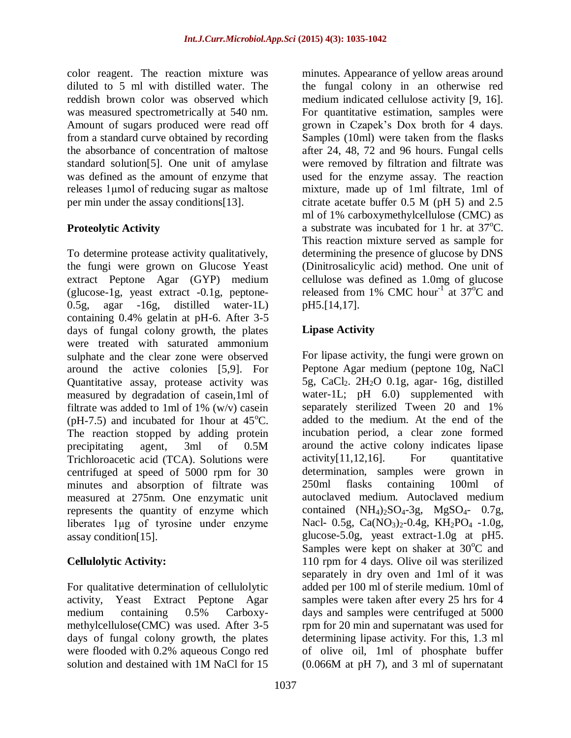color reagent. The reaction mixture was diluted to 5 ml with distilled water. The reddish brown color was observed which was measured spectrometrically at 540 nm. Amount of sugars produced were read off from a standard curve obtained by recording the absorbance of concentration of maltose standard solution[5]. One unit of amylase was defined as the amount of enzyme that releases 1μmol of reducing sugar as maltose per min under the assay conditions[13].

## **Proteolytic Activity**

To determine protease activity qualitatively, the fungi were grown on Glucose Yeast extract Peptone Agar (GYP) medium (glucose-1g, yeast extract -0.1g, peptone-0.5g, agar -16g, distilled water-1L) containing 0.4% gelatin at pH-6. After 3-5 days of fungal colony growth, the plates were treated with saturated ammonium sulphate and the clear zone were observed around the active colonies [5,9]. For Quantitative assay, protease activity was measured by degradation of casein,1ml of filtrate was added to 1ml of 1% (w/v) casein (pH-7.5) and incubated for 1 hour at  $45^{\circ}$ C. The reaction stopped by adding protein precipitating agent, 3ml of 0.5M Trichloroacetic acid (TCA). Solutions were centrifuged at speed of 5000 rpm for 30 minutes and absorption of filtrate was measured at 275nm. One enzymatic unit represents the quantity of enzyme which liberates 1μg of tyrosine under enzyme assay condition[15].

## **Cellulolytic Activity:**

For qualitative determination of cellulolytic activity, Yeast Extract Peptone Agar medium containing 0.5% Carboxymethylcellulose(CMC) was used. After 3-5 days of fungal colony growth, the plates were flooded with 0.2% aqueous Congo red solution and destained with 1M NaCl for 15

minutes. Appearance of yellow areas around the fungal colony in an otherwise red medium indicated cellulose activity [9, 16]. For quantitative estimation, samples were grown in Czapek's Dox broth for 4 days. Samples (10ml) were taken from the flasks after 24, 48, 72 and 96 hours. Fungal cells were removed by filtration and filtrate was used for the enzyme assay. The reaction mixture, made up of 1ml filtrate, 1ml of citrate acetate buffer 0.5 M (pH 5) and 2.5 ml of 1% carboxymethylcellulose (CMC) as a substrate was incubated for 1 hr. at  $37^{\circ}$ C. This reaction mixture served as sample for determining the presence of glucose by DNS (Dinitrosalicylic acid) method. One unit of cellulose was defined as 1.0mg of glucose released from 1% CMC hour<sup>-1</sup> at  $37^{\circ}$ C and pH5.[14,17].

## **Lipase Activity**

For lipase activity, the fungi were grown on Peptone Agar medium (peptone 10g, NaCl 5g, CaCl<sub>2</sub>.  $2H_2O$  0.1g, agar- 16g, distilled water-1L; pH 6.0) supplemented with separately sterilized Tween 20 and 1% added to the medium. At the end of the incubation period, a clear zone formed around the active colony indicates lipase  $\arcsin\left[\frac{11,12,16}{\ldots}\right]$  For quantitative determination, samples were grown in 250ml flasks containing 100ml of autoclaved medium. Autoclaved medium contained  $(NH_4)_2SO_4-3g$ ,  $MgSO_4-0.7g$ , Nacl- 0.5g,  $Ca(NO<sub>3</sub>)<sub>2</sub>$ -0.4g, KH<sub>2</sub>PO<sub>4</sub> -1.0g, glucose-5.0g, yeast extract-1.0g at pH5. Samples were kept on shaker at  $30^{\circ}$ C and 110 rpm for 4 days. Olive oil was sterilized separately in dry oven and 1ml of it was added per 100 ml of sterile medium. 10ml of samples were taken after every 25 hrs for 4 days and samples were centrifuged at 5000 rpm for 20 min and supernatant was used for determining lipase activity. For this, 1.3 ml of olive oil, 1ml of phosphate buffer (0.066M at pH 7), and 3 ml of supernatant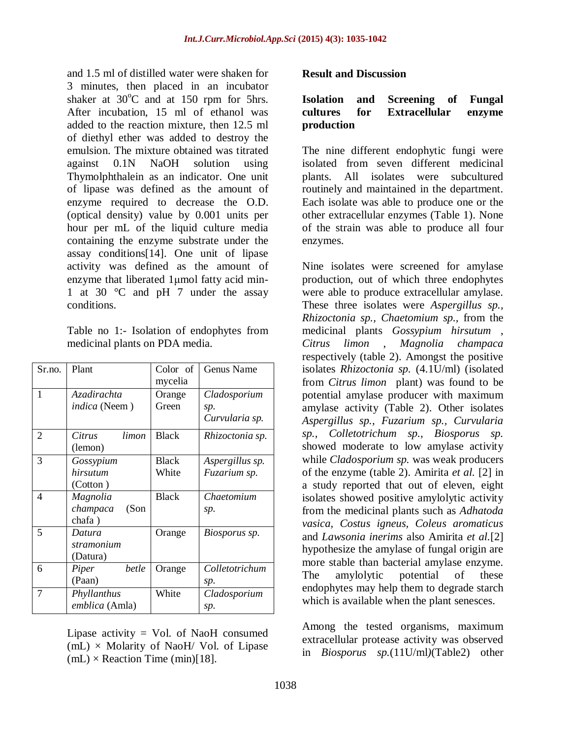and 1.5 ml of distilled water were shaken for 3 minutes, then placed in an incubator shaker at  $30^{\circ}$ C and at 150 rpm for 5hrs. After incubation, 15 ml of ethanol was added to the reaction mixture, then 12.5 ml of diethyl ether was added to destroy the emulsion. The mixture obtained was titrated against 0.1N NaOH solution using Thymolphthalein as an indicator. One unit of lipase was defined as the amount of enzyme required to decrease the O.D. (optical density) value by 0.001 units per hour per mL of the liquid culture media containing the enzyme substrate under the assay conditions[14]. One unit of lipase activity was defined as the amount of enzyme that liberated 1μmol fatty acid min-1 at 30 °C and pH 7 under the assay conditions.

Table no 1:- Isolation of endophytes from medicinal plants on PDA media.

| Sr.no.         | Plant                                  | Color of<br>mycelia   | Genus Name                            |
|----------------|----------------------------------------|-----------------------|---------------------------------------|
| 1              | Azadirachta<br><i>indica</i> (Neem)    | Orange<br>Green       | Cladosporium<br>sp.<br>Curvularia sp. |
| $\overline{2}$ | limon<br>Citrus<br>(lemon)             | <b>Black</b>          | Rhizoctonia sp.                       |
| 3              | Gossypium<br>hirsutum<br>(Cotton)      | <b>Black</b><br>White | Aspergillus sp.<br>Fuzarium sp.       |
| 4              | Magnolia<br>champaca<br>(Son<br>chafa) | <b>Black</b>          | Chaetomium<br>sp.                     |
| 5              | Datura<br>stramonium<br>(Datura)       | Orange                | Biosporus sp.                         |
| 6              | <i>betle</i><br>Piper<br>(Paan)        | Orange                | Colletotrichum<br>sp.                 |
| 7              | Phyllanthus<br>emblica (Amla)          | White                 | Cladosporium<br>sp.                   |

Lipase activity  $=$  Vol. of NaoH consumed  $(mL)$  × Molarity of NaoH/ Vol. of Lipase  $(mL) \times$  Reaction Time  $(min)[18]$ .

#### **Result and Discussion**

#### **Isolation and Screening of Fungal cultures for Extracellular enzyme production**

The nine different endophytic fungi were isolated from seven different medicinal plants. All isolates were subcultured routinely and maintained in the department. Each isolate was able to produce one or the other extracellular enzymes (Table 1). None of the strain was able to produce all four enzymes.

Nine isolates were screened for amylase production, out of which three endophytes were able to produce extracellular amylase. These three isolates were *Aspergillus sp., Rhizoctonia sp., Chaetomium sp.,* from the medicinal plants *Gossypium hirsutum* , *Citrus limon* , *Magnolia champaca* respectively (table 2). Amongst the positive isolates *Rhizoctonia sp.* (4.1U/ml) (isolated from *Citrus limon* plant) was found to be potential amylase producer with maximum amylase activity (Table 2). Other isolates *Aspergillus sp., Fuzarium sp., Curvularia sp., Colletotrichum sp., Biosporus sp.*  showed moderate to low amylase activity while *Cladosporium sp.* was weak producers of the enzyme (table 2). Amirita *et al.* [2] in a study reported that out of eleven, eight isolates showed positive amylolytic activity from the medicinal plants such as *Adhatoda vasica, Costus igneus, Coleus aromaticus*  and *Lawsonia inerims* also Amirita *et al.*[2] hypothesize the amylase of fungal origin are more stable than bacterial amylase enzyme. The amylolytic potential of these endophytes may help them to degrade starch which is available when the plant senesces.

Among the tested organisms, maximum extracellular protease activity was observed in *Biosporus sp.*(11U/ml*)*(Table2) other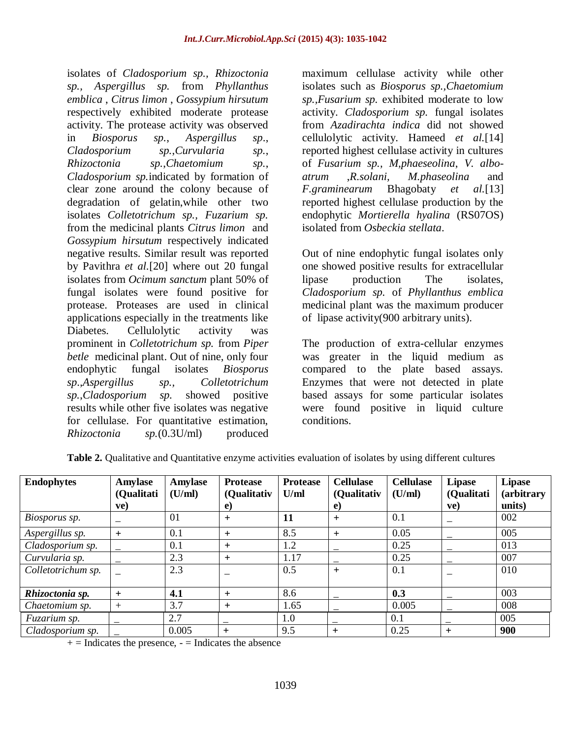isolates of *Cladosporium sp., Rhizoctonia sp., Aspergillus sp.* from *Phyllanthus emblica* , *Citrus limon* , *Gossypium hirsutum*  respectively exhibited moderate protease activity. The protease activity was observed in *Biosporus sp.*, *Aspergillus sp*., *Cladosporium sp.*,*Curvularia sp.*, *Rhizoctonia sp.*,*Chaetomium sp.*, *Cladosporium sp.*indicated by formation of clear zone around the colony because of degradation of gelatin,while other two isolates *Colletotrichum sp., Fuzarium sp.*  from the medicinal plants *Citrus limon* and *Gossypium hirsutum* respectively indicated negative results. Similar result was reported by Pavithra *et al.*[20] where out 20 fungal isolates from *Ocimum sanctum* plant 50% of fungal isolates were found positive for protease. Proteases are used in clinical applications especially in the treatments like Diabetes. Cellulolytic activity was prominent in *Colletotrichum sp.* from *Piper betle* medicinal plant. Out of nine, only four endophytic fungal isolates *Biosporus sp*.,*Aspergillus sp., Colletotrichum sp.*,*Cladosporium sp.* showed positive results while other five isolates was negative for cellulase. For quantitative estimation, *Rhizoctonia sp.*(0.3U/ml) produced

maximum cellulase activity while other isolates such as *Biosporus sp.,Chaetomium sp.,Fusarium sp.* exhibited moderate to low activity. *Cladosporium sp.* fungal isolates from *Azadirachta indica* did not showed cellulolytic activity. Hameed *et al.*[14] reported highest cellulase activity in cultures of *Fusarium sp., M,phaeseolina*, *V. alboatrum* ,*R.solani, M.phaseolina* and *F.graminearum* Bhagobaty *et al.*[13] reported highest cellulase production by the endophytic *Mortierella hyalina* (RS07OS) isolated from *Osbeckia stellata*.

Out of nine endophytic fungal isolates only one showed positive results for extracellular lipase production The isolates, *Cladosporium sp.* of *Phyllanthus emblica*  medicinal plant was the maximum producer of lipase activity(900 arbitrary units).

The production of extra-cellular enzymes was greater in the liquid medium as compared to the plate based assays. Enzymes that were not detected in plate based assays for some particular isolates were found positive in liquid culture conditions.

| <b>Endophytes</b>  | Amylase<br>(Qualitati | <b>Amylase</b><br>(U/ml) | <b>Protease</b><br>(Qualitativ | <b>Protease</b><br>U/ml | <b>Cellulase</b><br>(Qualitativ | <b>Cellulase</b><br>(U/ml) | <b>Lipase</b><br>(Qualitati | <b>Lipase</b><br><i>(arbitrary)</i> |
|--------------------|-----------------------|--------------------------|--------------------------------|-------------------------|---------------------------------|----------------------------|-----------------------------|-------------------------------------|
|                    | ve)                   |                          | e)                             |                         | e)                              |                            | ve)                         | units)                              |
| Biosporus sp.      |                       | 01                       | $\,{}^+$                       | 11                      | $^{+}$                          | 0.1                        | $\overline{\phantom{0}}$    | 002                                 |
| Aspergillus sp.    | $^{+}$                | 0.1                      | $\pm$                          | 8.5                     | $^{+}$                          | 0.05                       |                             | 005                                 |
| Cladosporium sp.   |                       | 0.1                      | $\pm$                          | 1.2                     |                                 | 0.25                       |                             | 013                                 |
| Curvularia sp.     |                       | 2.3                      | $\pm$                          | 1.17                    |                                 | 0.25                       |                             | 007                                 |
| Colletotrichum sp. |                       | 2.3                      |                                | 0.5                     | $+$                             | 0.1                        |                             | 010                                 |
|                    |                       |                          |                                |                         |                                 |                            |                             |                                     |
| Rhizoctonia sp.    | $^{+}$                | 4.1                      | $\pm$                          | 8.6                     |                                 | 0.3                        |                             | 003                                 |
| Chaetomium sp.     | $^{+}$                | 3.7                      | $\pm$                          | 1.65                    |                                 | 0.005                      |                             | 008                                 |
| Fuzarium sp.       |                       | 2.7                      | -                              | 1.0                     |                                 | 0.1                        |                             | 005                                 |
| Cladosporium sp.   |                       | 0.005                    | $^{+}$                         | 9.5                     | $^{+}$                          | 0.25                       | $^{+}$                      | 900                                 |

**Table 2.** Qualitative and Quantitative enzyme activities evaluation of isolates by using different cultures

 $+=$  Indicates the presence,  $=$  Indicates the absence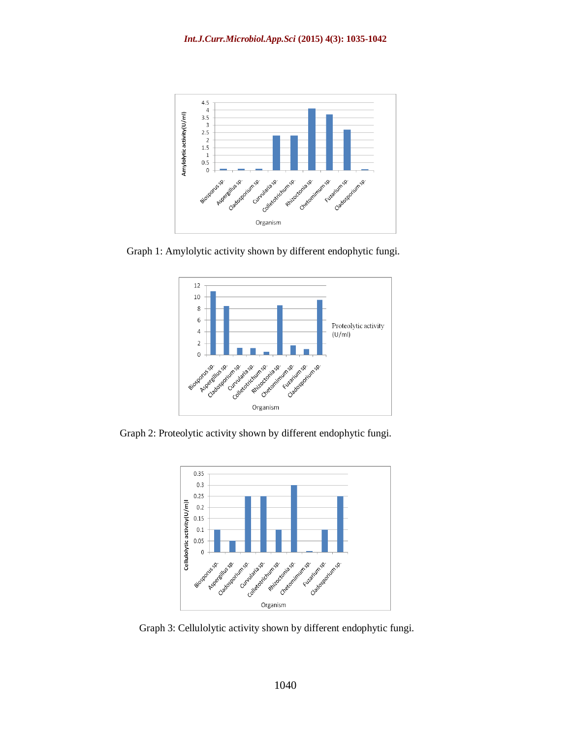

Graph 1: Amylolytic activity shown by different endophytic fungi.



Graph 2: Proteolytic activity shown by different endophytic fungi.



Graph 3: Cellulolytic activity shown by different endophytic fungi.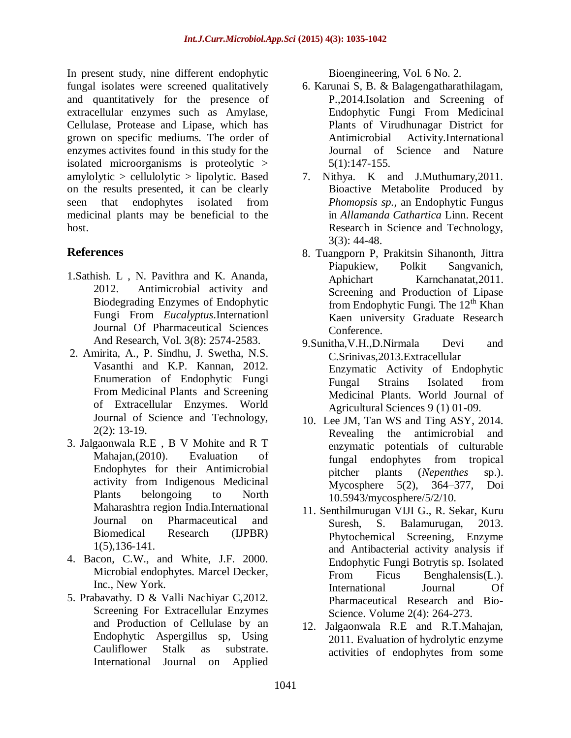In present study, nine different endophytic fungal isolates were screened qualitatively and quantitatively for the presence of extracellular enzymes such as Amylase, Cellulase, Protease and Lipase, which has grown on specific mediums. The order of enzymes activites found in this study for the isolated microorganisms is proteolytic > amylolytic > cellulolytic > lipolytic. Based on the results presented, it can be clearly seen that endophytes isolated from medicinal plants may be beneficial to the host.

# **References**

- 1.Sathish. L , N. Pavithra and K. Ananda, 2012. Antimicrobial activity and Biodegrading Enzymes of Endophytic Fungi From *Eucalyptus*.Internationl Journal Of Pharmaceutical Sciences And Research, Vol. 3(8): 2574-2583.
- 2. Amirita, A., P. Sindhu, J. Swetha, N.S. Vasanthi and K.P. Kannan, 2012. Enumeration of Endophytic Fungi From Medicinal Plants and Screening of Extracellular Enzymes. World Journal of Science and Technology, 2(2): 13-19.
- 3. Jalgaonwala R.E , B V Mohite and R T Mahajan,(2010). Evaluation of Endophytes for their Antimicrobial activity from Indigenous Medicinal Plants belongoing to North Maharashtra region India.International Journal on Pharmaceutical and Biomedical Research (IJPBR) 1(5),136-141.
- 4. Bacon, C.W., and White, J.F. 2000. Microbial endophytes. Marcel Decker, Inc., New York.
- 5. Prabavathy. D & Valli Nachiyar C,2012. Screening For Extracellular Enzymes and Production of Cellulase by an Endophytic Aspergillus sp, Using Cauliflower Stalk as substrate. International Journal on Applied

Bioengineering, Vol. 6 No. 2.

- 6. Karunai S, B. & Balagengatharathilagam, P.,2014.Isolation and Screening of Endophytic Fungi From Medicinal Plants of Virudhunagar District for Antimicrobial Activity.International Journal of Science and Nature 5(1):147-155.
- 7. Nithya. K and J.Muthumary,2011. Bioactive Metabolite Produced by *Phomopsis sp.,* an Endophytic Fungus in *Allamanda Cathartica* Linn. Recent Research in Science and Technology, 3(3): 44-48.
- 8. Tuangporn P, Prakitsin Sihanonth, Jittra Piapukiew, Polkit Sangvanich, Aphichart Karnchanatat,2011. Screening and Production of Lipase from Endophytic Fungi. The 12<sup>th</sup> Khan Kaen university Graduate Research Conference.
- 9.Sunitha,V.H.,D.Nirmala Devi and C.Srinivas,2013.Extracellular Enzymatic Activity of Endophytic Fungal Strains Isolated from Medicinal Plants. World Journal of Agricultural Sciences 9 (1) 01-09.
- 10. Lee JM, Tan WS and Ting ASY, 2014. Revealing the antimicrobial and enzymatic potentials of culturable fungal endophytes from tropical pitcher plants (*Nepenthes* sp.). Mycosphere 5(2), 364–377, Doi 10.5943/mycosphere/5/2/10.
- 11. Senthilmurugan VIJI G., R. Sekar, Kuru Suresh, S. Balamurugan, 2013. Phytochemical Screening, Enzyme and Antibacterial activity analysis if Endophytic Fungi Botrytis sp. Isolated From Ficus Benghalensis(L.). International Journal Of Pharmaceutical Research and Bio-Science. Volume 2(4): 264-273.
- 12. Jalgaonwala R.E and R.T.Mahajan, 2011. Evaluation of hydrolytic enzyme activities of endophytes from some